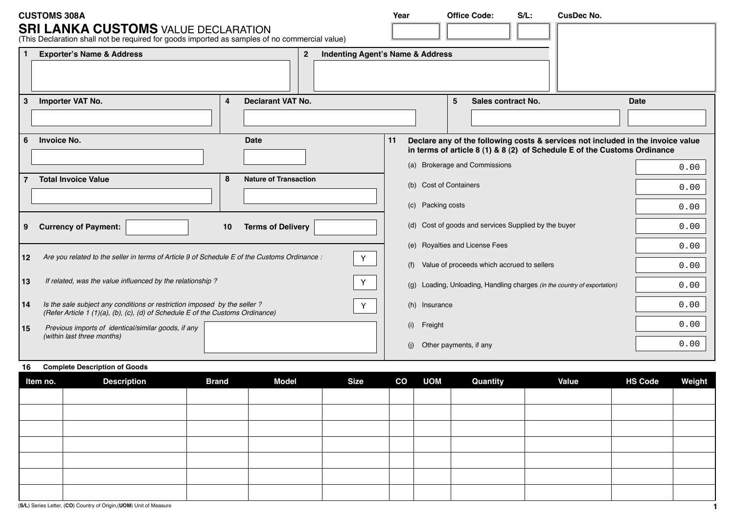|              | <b>CUSTOMS 308A</b><br><b>SRI LANKA CUSTOMS VALUE DECLARATION</b>                                                                                          |             |                                                               | Year |                               |   | <b>Office Code:</b>                                                  | $S/L$ : | <b>CusDec No.</b>                                                                                                                                           |              |  |
|--------------|------------------------------------------------------------------------------------------------------------------------------------------------------------|-------------|---------------------------------------------------------------|------|-------------------------------|---|----------------------------------------------------------------------|---------|-------------------------------------------------------------------------------------------------------------------------------------------------------------|--------------|--|
|              | (This Declaration shall not be required for goods imported as samples of no commercial value)<br><b>Exporter's Name &amp; Address</b>                      |             | <b>Indenting Agent's Name &amp; Address</b><br>$\overline{2}$ |      |                               |   |                                                                      |         |                                                                                                                                                             |              |  |
| 3            | Importer VAT No.                                                                                                                                           | 4           | <b>Declarant VAT No.</b>                                      |      |                               | 5 | Sales contract No.                                                   |         |                                                                                                                                                             | <b>Date</b>  |  |
| 6            | <b>Invoice No.</b>                                                                                                                                         | <b>Date</b> |                                                               |      |                               |   |                                                                      |         | Declare any of the following costs & services not included in the invoice value<br>in terms of article 8 (1) & 8 (2) of Schedule E of the Customs Ordinance |              |  |
|              | <b>Total Invoice Value</b>                                                                                                                                 | 8           | <b>Nature of Transaction</b>                                  |      | (b) Cost of Containers        |   | (a) Brokerage and Commissions                                        |         |                                                                                                                                                             | 0.00<br>0.00 |  |
| 9            | <b>Currency of Payment:</b>                                                                                                                                | 10          | <b>Terms of Delivery</b>                                      |      | (c) Packing costs             |   | (d) Cost of goods and services Supplied by the buyer                 |         |                                                                                                                                                             | 0.00<br>0.00 |  |
| $ 12\rangle$ | Are you related to the seller in terms of Article 9 of Schedule E of the Customs Ordinance :                                                               |             | $\mathbf Y$                                                   |      |                               |   | (e) Royalties and License Fees                                       |         |                                                                                                                                                             | 0.00         |  |
|              |                                                                                                                                                            |             | Value of proceeds which accrued to sellers<br>(f)             |      |                               |   |                                                                      |         |                                                                                                                                                             |              |  |
| 13           | If related, was the value influenced by the relationship?                                                                                                  |             | (q)                                                           |      |                               |   | Loading, Unloading, Handling charges (in the country of exportation) | 0.00    |                                                                                                                                                             |              |  |
| 14           | Is the sale subject any conditions or restriction imposed by the seller?<br>(Refer Article 1 (1)(a), (b), (c), (d) of Schedule E of the Customs Ordinance) |             | (h) Insurance                                                 |      |                               |   |                                                                      | 0.00    |                                                                                                                                                             |              |  |
| l 15         | Previous imports of identical/similar goods, if any                                                                                                        |             |                                                               |      |                               |   |                                                                      |         |                                                                                                                                                             | 0.00         |  |
|              | (within last three months)                                                                                                                                 |             |                                                               |      | Other payments, if any<br>(i) |   |                                                                      |         |                                                                                                                                                             | 0.00         |  |

## **16 Complete Description of Goods**

| Item no. | <b>Description</b> | <b>Brand</b> | <b>Model</b> | <b>Size</b> | CO UOM | Quantity | <b>Value</b> | <b>HS Code</b> | Weight |
|----------|--------------------|--------------|--------------|-------------|--------|----------|--------------|----------------|--------|
|          |                    |              |              |             |        |          |              |                |        |
|          |                    |              |              |             |        |          |              |                |        |
|          |                    |              |              |             |        |          |              |                |        |
|          |                    |              |              |             |        |          |              |                |        |
|          |                    |              |              |             |        |          |              |                |        |
|          |                    |              |              |             |        |          |              |                |        |
|          |                    |              |              |             |        |          |              |                |        |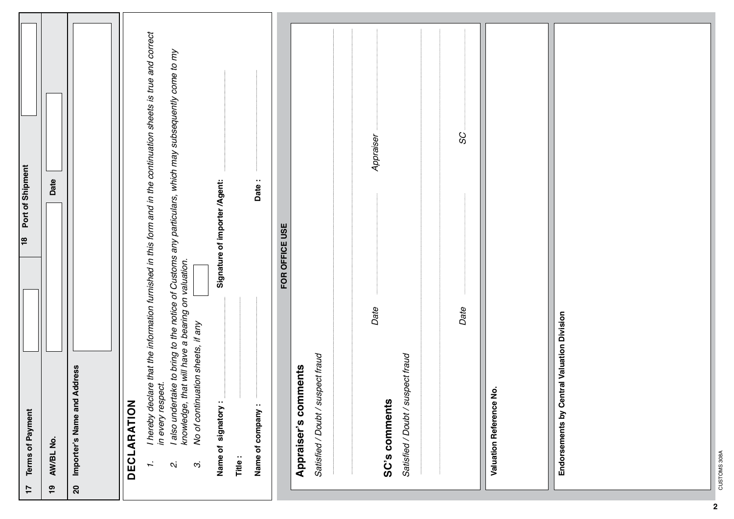| Port of Shipment<br> ≌                    | Date                       | Importer's Name and Address |                    | I hereby declare that the information furnished in this form and in the continuation sheets is true and correct<br>I also undertake to bring to the notice of Customs any particulars, which may subsequently come to my<br>knowledge, that will have a bearing on valuation.<br>No of continuation sheets, if any<br>in every respect. | Signature of importer/Agent:<br>$\cdot$ . | Date:                      | FOR OFFICE USE | Appraiser's comments | Satisfied / Doubt / suspect fraud | Appraiser<br>Date<br>Satisfied / Doubt / suspect fraud | SC<br>Date | Valuation Reference No. | Endorsements by Central Valuation Division |
|-------------------------------------------|----------------------------|-----------------------------|--------------------|-----------------------------------------------------------------------------------------------------------------------------------------------------------------------------------------------------------------------------------------------------------------------------------------------------------------------------------------|-------------------------------------------|----------------------------|----------------|----------------------|-----------------------------------|--------------------------------------------------------|------------|-------------------------|--------------------------------------------|
| <b>Terms of Payment</b><br>$\overline{1}$ | AW/BL No.<br>$\frac{6}{1}$ | $\mathbf{S}$                | <b>DECLARATION</b> | I,<br>$\mathbf{C}$<br>ω.                                                                                                                                                                                                                                                                                                                | Name of signatory                         | Name of company:<br>Title: |                |                      |                                   | SC's comments                                          |            |                         |                                            |